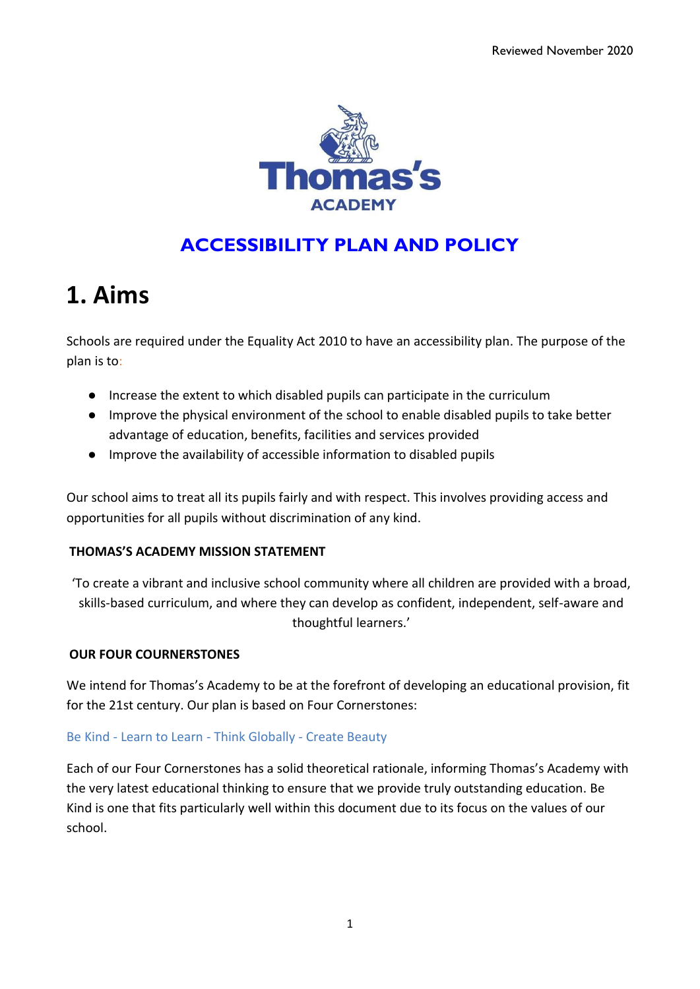

# **ACCESSIBILITY PLAN AND POLICY**

# **1. Aims**

Schools are required under the Equality Act 2010 to have an accessibility plan. The purpose of the plan is to:

- Increase the extent to which disabled pupils can participate in the curriculum
- Improve the physical environment of the school to enable disabled pupils to take better advantage of education, benefits, facilities and services provided
- Improve the availability of accessible information to disabled pupils

Our school aims to treat all its pupils fairly and with respect. This involves providing access and opportunities for all pupils without discrimination of any kind.

## **THOMAS'S ACADEMY MISSION STATEMENT**

'To create a vibrant and inclusive school community where all children are provided with a broad, skills-based curriculum, and where they can develop as confident, independent, self-aware and thoughtful learners.'

## **OUR FOUR COURNERSTONES**

We intend for Thomas's Academy to be at the forefront of developing an educational provision, fit for the 21st century. Our plan is based on Four Cornerstones:

## Be Kind - Learn to Learn - Think Globally - Create Beauty

Each of our Four Cornerstones has a solid theoretical rationale, informing Thomas's Academy with the very latest educational thinking to ensure that we provide truly outstanding education. Be Kind is one that fits particularly well within this document due to its focus on the values of our school.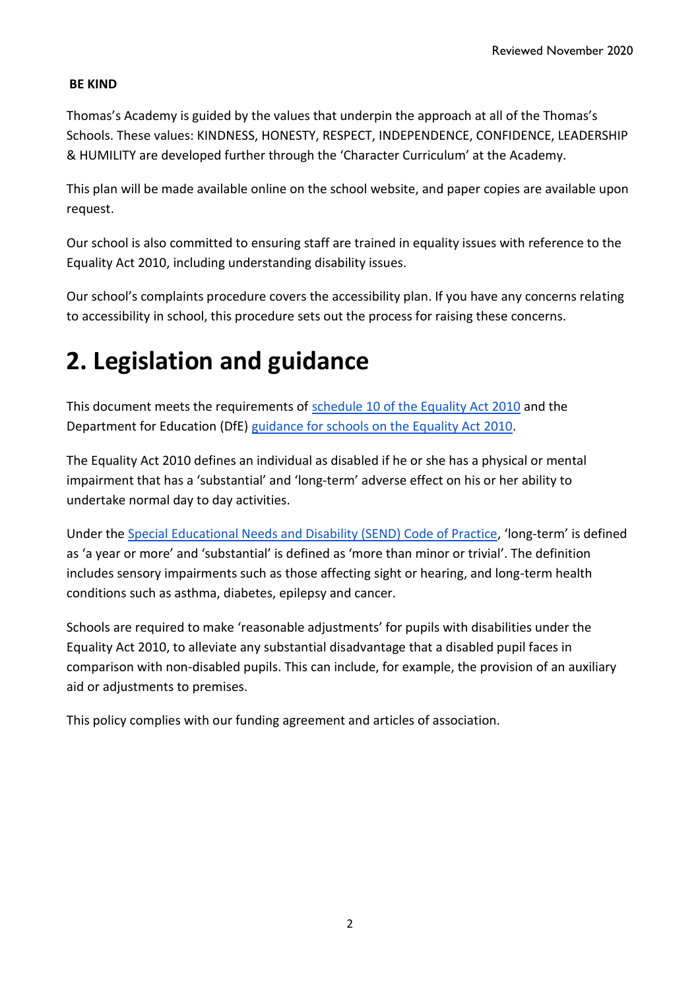## **BE KIND**

Thomas's Academy is guided by the values that underpin the approach at all of the Thomas's Schools. These values: KINDNESS, HONESTY, RESPECT, INDEPENDENCE, CONFIDENCE, LEADERSHIP & HUMILITY are developed further through the 'Character Curriculum' at the Academy.

This plan will be made available online on the school website, and paper copies are available upon request.

Our school is also committed to ensuring staff are trained in equality issues with reference to the Equality Act 2010, including understanding disability issues.

Our school's complaints procedure covers the accessibility plan. If you have any concerns relating to accessibility in school, this procedure sets out the process for raising these concerns.

# **2. Legislation and guidance**

This document meets the requirements o[f](http://www.legislation.gov.uk/ukpga/2010/15/schedule/10) [schedule 10 of the Equality Act 2010](http://www.legislation.gov.uk/ukpga/2010/15/schedule/10) and the Department for Education (DfE[\)](https://www.gov.uk/government/publications/equality-act-2010-advice-for-schools) [guidance for schools on the Equality Act 2010.](https://www.gov.uk/government/publications/equality-act-2010-advice-for-schools)

The Equality Act 2010 defines an individual as disabled if he or she has a physical or mental impairment that has a 'substantial' and 'long-term' adverse effect on his or her ability to undertake normal day to day activities.

Under th[e](https://www.gov.uk/government/publications/send-code-of-practice-0-to-25) [Special Educational Needs and Disability \(SEND\) Code of Practice](https://www.gov.uk/government/publications/send-code-of-practice-0-to-25), 'long-term' is defined as 'a year or more' and 'substantial' is defined as 'more than minor or trivial'. The definition includes sensory impairments such as those affecting sight or hearing, and long-term health conditions such as asthma, diabetes, epilepsy and cancer.

Schools are required to make 'reasonable adjustments' for pupils with disabilities under the Equality Act 2010, to alleviate any substantial disadvantage that a disabled pupil faces in comparison with non-disabled pupils. This can include, for example, the provision of an auxiliary aid or adjustments to premises.

This policy complies with our funding agreement and articles of association.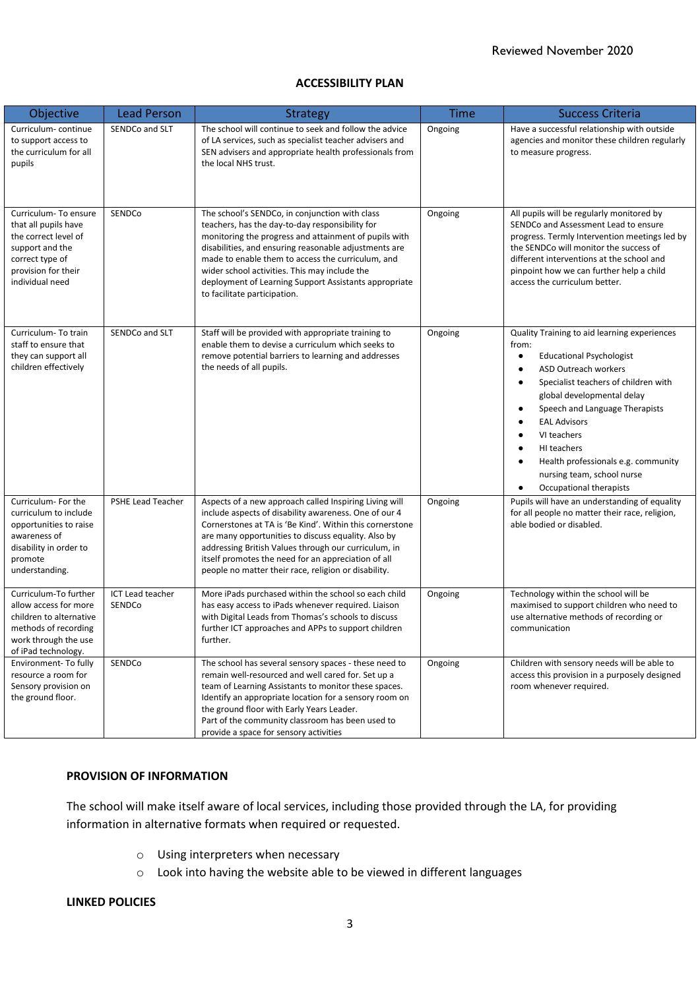#### **ACCESSIBILITY PLAN**

| Objective                                                                                                                                            | <b>Lead Person</b>         | <b>Strategy</b>                                                                                                                                                                                                                                                                                                                                                                                                    | <b>Time</b> | <b>Success Criteria</b>                                                                                                                                                                                                                                                                                                                                                                                                                  |
|------------------------------------------------------------------------------------------------------------------------------------------------------|----------------------------|--------------------------------------------------------------------------------------------------------------------------------------------------------------------------------------------------------------------------------------------------------------------------------------------------------------------------------------------------------------------------------------------------------------------|-------------|------------------------------------------------------------------------------------------------------------------------------------------------------------------------------------------------------------------------------------------------------------------------------------------------------------------------------------------------------------------------------------------------------------------------------------------|
| Curriculum-continue<br>to support access to<br>the curriculum for all<br>pupils                                                                      | SENDCo and SLT             | The school will continue to seek and follow the advice<br>of LA services, such as specialist teacher advisers and<br>SEN advisers and appropriate health professionals from<br>the local NHS trust.                                                                                                                                                                                                                | Ongoing     | Have a successful relationship with outside<br>agencies and monitor these children regularly<br>to measure progress.                                                                                                                                                                                                                                                                                                                     |
| Curriculum-To ensure<br>that all pupils have<br>the correct level of<br>support and the<br>correct type of<br>provision for their<br>individual need | SENDCo                     | The school's SENDCo, in conjunction with class<br>teachers, has the day-to-day responsibility for<br>monitoring the progress and attainment of pupils with<br>disabilities, and ensuring reasonable adjustments are<br>made to enable them to access the curriculum, and<br>wider school activities. This may include the<br>deployment of Learning Support Assistants appropriate<br>to facilitate participation. | Ongoing     | All pupils will be regularly monitored by<br>SENDCo and Assessment Lead to ensure<br>progress. Termly Intervention meetings led by<br>the SENDCo will monitor the success of<br>different interventions at the school and<br>pinpoint how we can further help a child<br>access the curriculum better.                                                                                                                                   |
| Curriculum-To train<br>staff to ensure that<br>they can support all<br>children effectively                                                          | SENDCo and SLT             | Staff will be provided with appropriate training to<br>enable them to devise a curriculum which seeks to<br>remove potential barriers to learning and addresses<br>the needs of all pupils.                                                                                                                                                                                                                        | Ongoing     | Quality Training to aid learning experiences<br>from:<br><b>Educational Psychologist</b><br>$\bullet$<br><b>ASD Outreach workers</b><br>$\bullet$<br>Specialist teachers of children with<br>$\bullet$<br>global developmental delay<br>Speech and Language Therapists<br>$\bullet$<br><b>EAL Advisors</b><br>VI teachers<br>HI teachers<br>Health professionals e.g. community<br>nursing team, school nurse<br>Occupational therapists |
| Curriculum- For the<br>curriculum to include<br>opportunities to raise<br>awareness of<br>disability in order to<br>promote<br>understanding.        | PSHE Lead Teacher          | Aspects of a new approach called Inspiring Living will<br>include aspects of disability awareness. One of our 4<br>Cornerstones at TA is 'Be Kind'. Within this cornerstone<br>are many opportunities to discuss equality. Also by<br>addressing British Values through our curriculum, in<br>itself promotes the need for an appreciation of all<br>people no matter their race, religion or disability.          | Ongoing     | Pupils will have an understanding of equality<br>for all people no matter their race, religion,<br>able bodied or disabled.                                                                                                                                                                                                                                                                                                              |
| Curriculum-To further<br>allow access for more<br>children to alternative<br>methods of recording<br>work through the use<br>of iPad technology.     | ICT Lead teacher<br>SENDCo | More iPads purchased within the school so each child<br>Ongoing<br>has easy access to iPads whenever required. Liaison<br>with Digital Leads from Thomas's schools to discuss<br>further ICT approaches and APPs to support children<br>communication<br>further.                                                                                                                                                  |             | Technology within the school will be<br>maximised to support children who need to<br>use alternative methods of recording or                                                                                                                                                                                                                                                                                                             |
| Environment- To fully<br>resource a room for<br>Sensory provision on<br>the ground floor.                                                            | SENDCo                     | The school has several sensory spaces - these need to<br>remain well-resourced and well cared for. Set up a<br>team of Learning Assistants to monitor these spaces.<br>Identify an appropriate location for a sensory room on<br>the ground floor with Early Years Leader.<br>Part of the community classroom has been used to<br>provide a space for sensory activities                                           | Ongoing     | Children with sensory needs will be able to<br>access this provision in a purposely designed<br>room whenever required.                                                                                                                                                                                                                                                                                                                  |

#### **PROVISION OF INFORMATION**

The school will make itself aware of local services, including those provided through the LA, for providing information in alternative formats when required or requested.

- o Using interpreters when necessary
- o Look into having the website able to be viewed in different languages

#### **LINKED POLICIES**